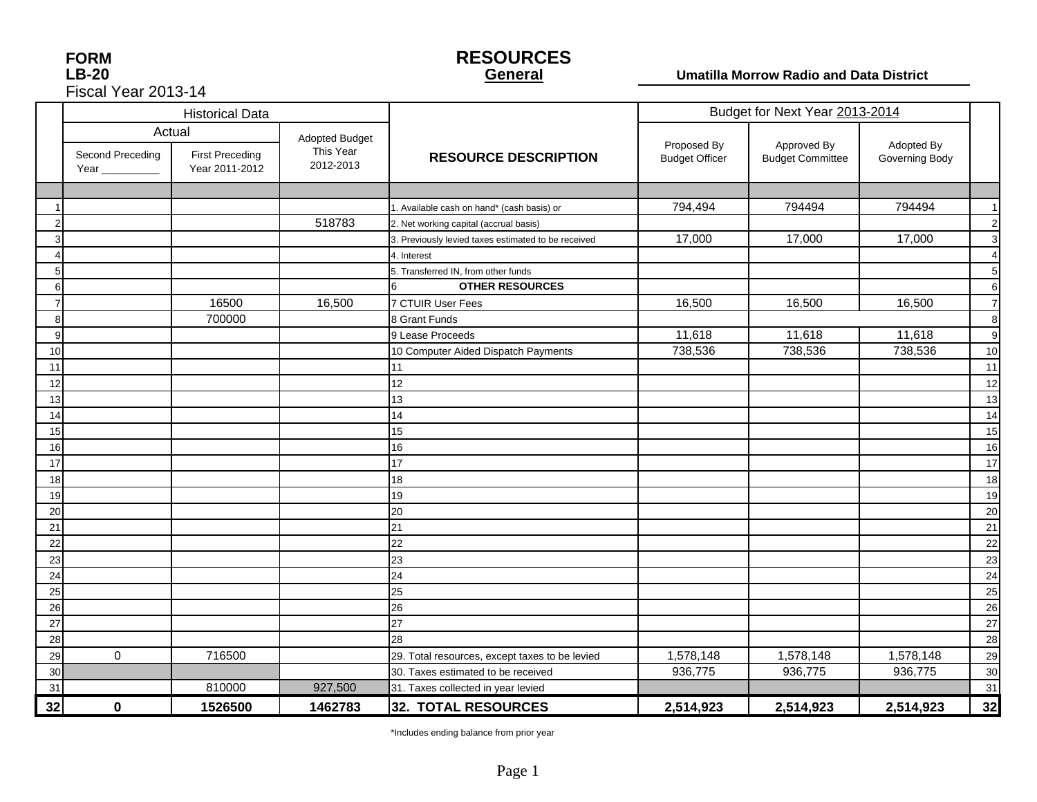| <b>FORM</b>         |
|---------------------|
| LB-20               |
| Fiscal Year 2013-14 |

### **RESOURCES General**

### **Umatilla Morrow Radio and Data District**

|    |                                     | <b>Historical Data</b>                             |                                          |                                                     | Budget for Next Year 2013-2014       |                                        |                              |                |
|----|-------------------------------------|----------------------------------------------------|------------------------------------------|-----------------------------------------------------|--------------------------------------|----------------------------------------|------------------------------|----------------|
|    | Second Preceding<br>Year __________ | Actual<br><b>First Preceding</b><br>Year 2011-2012 | Adopted Budget<br>This Year<br>2012-2013 | <b>RESOURCE DESCRIPTION</b>                         | Proposed By<br><b>Budget Officer</b> | Approved By<br><b>Budget Committee</b> | Adopted By<br>Governing Body |                |
|    |                                     |                                                    |                                          |                                                     |                                      |                                        |                              |                |
|    |                                     |                                                    |                                          | 1. Available cash on hand* (cash basis) or          | 794,494                              | 794494                                 | 794494                       | $\overline{1}$ |
|    |                                     |                                                    | 518783                                   | 2. Net working capital (accrual basis)              |                                      |                                        |                              | $\overline{c}$ |
|    |                                     |                                                    |                                          | 3. Previously levied taxes estimated to be received | 17,000                               | 17,000                                 | 17,000                       | 3              |
|    |                                     |                                                    |                                          | 4. Interest                                         |                                      |                                        |                              | 4              |
|    |                                     |                                                    |                                          | 5. Transferred IN, from other funds                 |                                      |                                        |                              | 5              |
| 6  |                                     |                                                    |                                          | <b>OTHER RESOURCES</b><br>6                         |                                      |                                        |                              | 6              |
|    |                                     | 16500                                              | 16,500                                   | 7 CTUIR User Fees                                   | 16,500                               | 16,500                                 | 16,500                       | $\overline{7}$ |
| 8  |                                     | 700000                                             |                                          | 8 Grant Funds                                       |                                      |                                        |                              | 8              |
| 9  |                                     |                                                    |                                          | 9 Lease Proceeds                                    | 11,618                               | 11,618                                 | 11,618                       | 9              |
| 10 |                                     |                                                    |                                          | 10 Computer Aided Dispatch Payments                 | 738,536                              | 738,536                                | 738,536                      | 10             |
| 11 |                                     |                                                    |                                          | 11                                                  |                                      |                                        |                              | 11             |
| 12 |                                     |                                                    |                                          | 12                                                  |                                      |                                        |                              | 12             |
| 13 |                                     |                                                    |                                          | 13                                                  |                                      |                                        |                              | 13             |
| 14 |                                     |                                                    |                                          | 14                                                  |                                      |                                        |                              | 14             |
| 15 |                                     |                                                    |                                          | 15                                                  |                                      |                                        |                              | 15             |
| 16 |                                     |                                                    |                                          | 16                                                  |                                      |                                        |                              | 16             |
| 17 |                                     |                                                    |                                          | 17                                                  |                                      |                                        |                              | 17             |
| 18 |                                     |                                                    |                                          | 18                                                  |                                      |                                        |                              | 18             |
| 19 |                                     |                                                    |                                          | 19                                                  |                                      |                                        |                              | 19             |
| 20 |                                     |                                                    |                                          | 20                                                  |                                      |                                        |                              | 20             |
| 21 |                                     |                                                    |                                          | 21                                                  |                                      |                                        |                              | 21             |
| 22 |                                     |                                                    |                                          | 22                                                  |                                      |                                        |                              | 22             |
| 23 |                                     |                                                    |                                          | 23                                                  |                                      |                                        |                              | 23             |
| 24 |                                     |                                                    |                                          | 24                                                  |                                      |                                        |                              | 24             |
| 25 |                                     |                                                    |                                          | 25                                                  |                                      |                                        |                              | 25             |
| 26 |                                     |                                                    |                                          | 26                                                  |                                      |                                        |                              | 26             |
| 27 |                                     |                                                    |                                          | 27                                                  |                                      |                                        |                              | 27             |
| 28 |                                     |                                                    |                                          | 28                                                  |                                      |                                        |                              | 28             |
| 29 | $\mathbf 0$                         | 716500                                             |                                          | 29. Total resources, except taxes to be levied      | 1,578,148                            | 1,578,148                              | 1,578,148                    | 29             |
| 30 |                                     |                                                    |                                          | 30. Taxes estimated to be received                  | 936,775                              | 936,775                                | 936,775                      | 30             |
| 31 |                                     | 810000                                             | 927,500                                  | 31. Taxes collected in year levied                  |                                      |                                        |                              | 31             |
| 32 | $\bf{0}$                            | 1526500                                            | 1462783                                  | <b>32. TOTAL RESOURCES</b>                          | 2,514,923                            | 2,514,923                              | 2,514,923                    | 32             |

\*Includes ending balance from prior year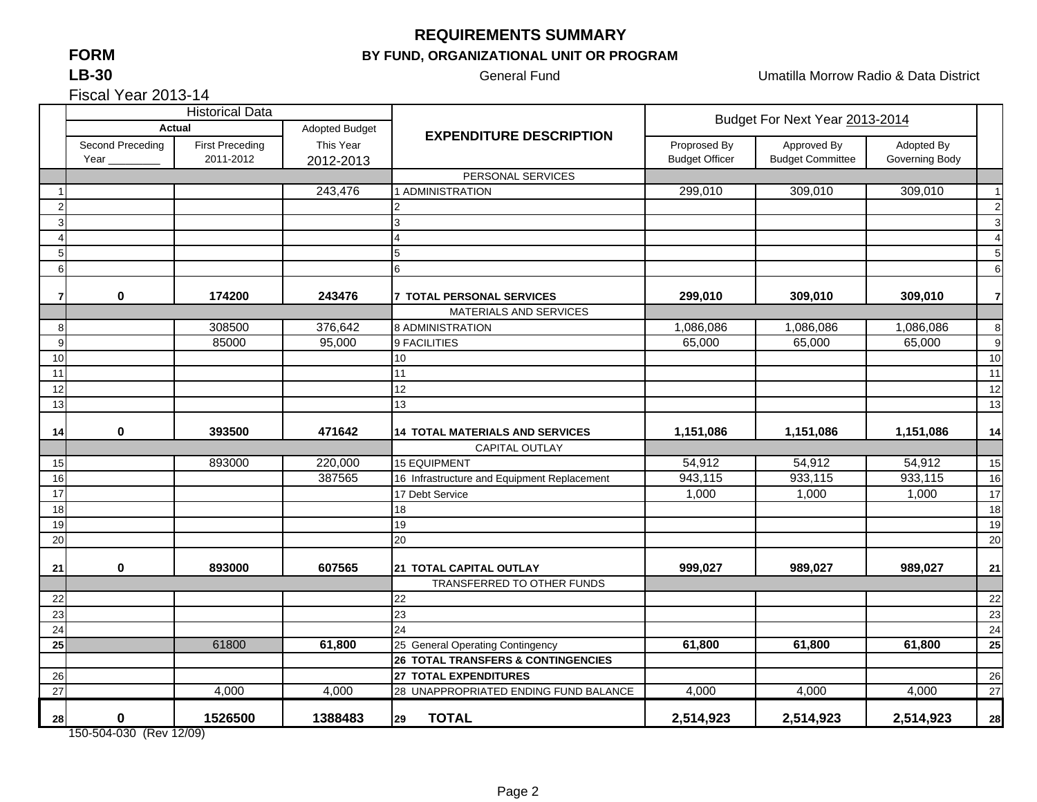## **FORMLB-30**

## **REQUIREMENTS SUMMARY**

## **BY FUND, ORGANIZATIONAL UNIT OR PROGRAM**

General Fund **Contract Contract Contract Contract Contract Contract Contract Contract Contract Contract Contract Contract Contract Contract Contract Contract Contract Contract Contract Contract Contract Contract Contract C** 

Fiscal Year 2013-14

|    |                                 | <b>Historical Data</b>              |                        |                                               | Budget For Next Year 2013-2014        |                                        |                              |                |
|----|---------------------------------|-------------------------------------|------------------------|-----------------------------------------------|---------------------------------------|----------------------------------------|------------------------------|----------------|
|    | <b>Actual</b>                   |                                     | Adopted Budget         |                                               | <b>EXPENDITURE DESCRIPTION</b>        |                                        |                              |                |
|    | Second Preceding<br>Year $_{-}$ | <b>First Preceding</b><br>2011-2012 | This Year<br>2012-2013 |                                               | Proprosed By<br><b>Budget Officer</b> | Approved By<br><b>Budget Committee</b> | Adopted By<br>Governing Body |                |
|    |                                 |                                     |                        | PERSONAL SERVICES                             |                                       |                                        |                              |                |
|    |                                 |                                     | 243,476                | 1 ADMINISTRATION                              | 299,010                               | 309,010                                | 309,010                      | $\overline{1}$ |
| 2  |                                 |                                     |                        | 2                                             |                                       |                                        |                              | $\overline{2}$ |
| 3  |                                 |                                     |                        | 3                                             |                                       |                                        |                              | 3              |
|    |                                 |                                     |                        |                                               |                                       |                                        |                              | 4              |
| 5  |                                 |                                     |                        | 5                                             |                                       |                                        |                              | 5              |
| 6  |                                 |                                     |                        | 6                                             |                                       |                                        |                              | 6              |
|    | 0                               | 174200                              | 243476                 | <b>7 TOTAL PERSONAL SERVICES</b>              | 299,010                               | 309,010                                | 309,010                      | $\overline{7}$ |
|    |                                 |                                     |                        | MATERIALS AND SERVICES                        |                                       |                                        |                              |                |
| 8  |                                 | 308500                              | 376,642                | 8 ADMINISTRATION                              | 1,086,086                             | 1,086,086                              | 1,086,086                    | 8              |
| 9  |                                 | 85000                               | 95,000                 | 9 FACILITIES                                  | 65,000                                | 65,000                                 | 65,000                       | 9              |
| 10 |                                 |                                     |                        | 10                                            |                                       |                                        |                              | 10             |
| 11 |                                 |                                     |                        | 11                                            |                                       |                                        |                              | 11             |
| 12 |                                 |                                     |                        | 12                                            |                                       |                                        |                              | 12             |
| 13 |                                 |                                     |                        | 13                                            |                                       |                                        |                              | 13             |
| 14 | $\boldsymbol{0}$                | 393500                              | 471642                 | <b>14 TOTAL MATERIALS AND SERVICES</b>        | 1,151,086                             | 1,151,086                              | 1,151,086                    | 14             |
|    |                                 |                                     |                        | CAPITAL OUTLAY                                |                                       |                                        |                              |                |
| 15 |                                 | 893000                              | 220,000                | <b>15 EQUIPMENT</b>                           | 54,912                                | 54,912                                 | 54,912                       | 15             |
| 16 |                                 |                                     | 387565                 | 16 Infrastructure and Equipment Replacement   | 943,115                               | 933,115                                | 933,115                      | 16             |
| 17 |                                 |                                     |                        | 17 Debt Service                               | 1,000                                 | 1,000                                  | 1,000                        | 17             |
| 18 |                                 |                                     |                        | 18                                            |                                       |                                        |                              | 18             |
| 19 |                                 |                                     |                        | 19                                            |                                       |                                        |                              | 19             |
| 20 |                                 |                                     |                        | 20                                            |                                       |                                        |                              | 20             |
| 21 | 0                               | 893000                              | 607565                 | 21 TOTAL CAPITAL OUTLAY                       | 999,027                               | 989,027                                | 989,027                      | 21             |
|    |                                 |                                     |                        | TRANSFERRED TO OTHER FUNDS                    |                                       |                                        |                              |                |
| 22 |                                 |                                     |                        | 22                                            |                                       |                                        |                              | 22             |
| 23 |                                 |                                     |                        | 23                                            |                                       |                                        |                              | 23             |
| 24 |                                 |                                     |                        | 24                                            |                                       |                                        |                              | 24             |
| 25 |                                 | 61800                               | 61,800                 | 25 General Operating Contingency              | 61,800                                | 61,800                                 | 61,800                       | 25             |
|    |                                 |                                     |                        | <b>26 TOTAL TRANSFERS &amp; CONTINGENCIES</b> |                                       |                                        |                              |                |
| 26 |                                 |                                     |                        | 27 TOTAL EXPENDITURES                         |                                       |                                        |                              | 26             |
| 27 |                                 | 4,000                               | 4,000                  | 28 UNAPPROPRIATED ENDING FUND BALANCE         | 4,000                                 | 4,000                                  | 4,000                        | 27             |
| 28 | $\mathbf 0$                     | 1526500                             | 1388483                | <b>TOTAL</b><br>29                            | 2,514,923                             | 2,514,923                              | 2,514,923                    | 28             |

150-504-030 (Rev 12/09)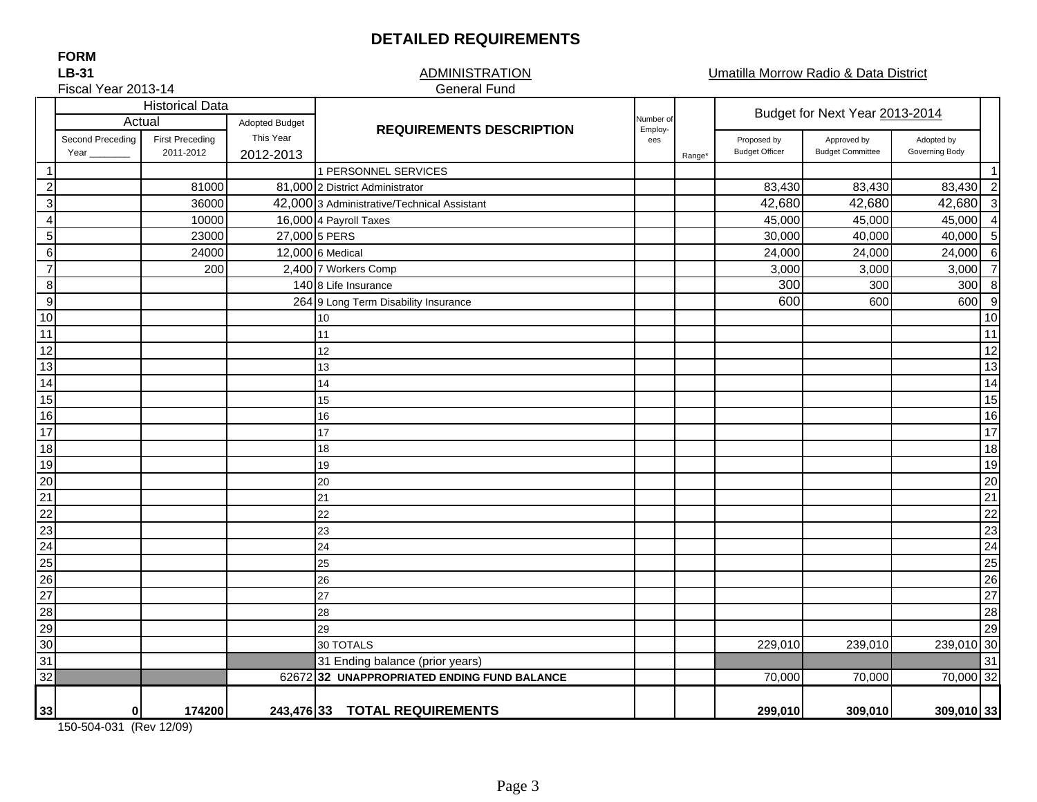# **DETAILED REQUIREMENTS**

**LB-31FORM**

#### ADMINISTRATIONGeneral Fund

Umatilla Morrow Radio & Data District

|                                              | Fiscal Year 2013-14              |                                     |                        | <b>General Fund</b>                         |                |                    |                                      |                                        |                                   |
|----------------------------------------------|----------------------------------|-------------------------------------|------------------------|---------------------------------------------|----------------|--------------------|--------------------------------------|----------------------------------------|-----------------------------------|
|                                              | <b>Historical Data</b><br>Actual |                                     |                        | Number of<br><b>Adopted Budget</b>          |                |                    |                                      | Budget for Next Year 2013-2014         |                                   |
|                                              | Second Preceding<br>Year         | <b>First Preceding</b><br>2011-2012 | This Year<br>2012-2013 | <b>REQUIREMENTS DESCRIPTION</b>             | Employ-<br>ees | Range <sup>*</sup> | Proposed by<br><b>Budget Officer</b> | Approved by<br><b>Budget Committee</b> | Adopted by<br>Governing Body      |
| $\overline{1}$                               |                                  |                                     |                        | 1 PERSONNEL SERVICES                        |                |                    |                                      |                                        | $\overline{1}$                    |
| $\overline{c}$                               |                                  | 81000                               |                        | 81,000 2 District Administrator             |                |                    | 83,430                               | 83,430                                 | 83,430 2                          |
| $\overline{3}$                               |                                  | 36000                               |                        | 42,000 3 Administrative/Technical Assistant |                |                    | 42,680                               | 42,680                                 | $\overline{\mathbf{3}}$<br>42,680 |
| $\overline{\mathbf{4}}$                      |                                  | 10000                               |                        | 16,000 4 Payroll Taxes                      |                |                    | 45,000                               | 45,000                                 | 45,000<br>$\overline{4}$          |
| $\overline{5}$                               |                                  | 23000                               | 27,000 5 PERS          |                                             |                |                    | 30,000                               | 40,000                                 | 5<br>40,000                       |
| $\,6$                                        |                                  | 24000                               |                        | 12,000 6 Medical                            |                |                    | 24,000                               | 24,000                                 | 6<br>24,000                       |
| $\overline{7}$                               |                                  | 200                                 |                        | 2,400 7 Workers Comp                        |                |                    | 3,000                                | 3,000                                  | $\overline{7}$<br>3,000           |
| 8                                            |                                  |                                     |                        | 140 8 Life Insurance                        |                |                    | 300                                  | 300                                    | 8<br>300                          |
| $\overline{9}$                               |                                  |                                     |                        | 264 9 Long Term Disability Insurance        |                |                    | 600                                  | 600                                    | 9<br>600                          |
| 10                                           |                                  |                                     |                        | 10                                          |                |                    |                                      |                                        | 10                                |
| 11                                           |                                  |                                     |                        | 11                                          |                |                    |                                      |                                        | 11                                |
| 12                                           |                                  |                                     |                        | 12                                          |                |                    |                                      |                                        | 12                                |
| 13                                           |                                  |                                     |                        | 13                                          |                |                    |                                      |                                        | 13                                |
| $\frac{1}{14}$                               |                                  |                                     |                        | 14                                          |                |                    |                                      |                                        | 14                                |
|                                              |                                  |                                     |                        | 15                                          |                |                    |                                      |                                        | 15                                |
| 16                                           |                                  |                                     |                        | 16                                          |                |                    |                                      |                                        | 16                                |
| $\frac{17}{17}$ $\frac{18}{19}$              |                                  |                                     |                        | 17                                          |                |                    |                                      |                                        | $\overline{17}$                   |
|                                              |                                  |                                     |                        | 18                                          |                |                    |                                      |                                        | 18                                |
|                                              |                                  |                                     |                        | 19                                          |                |                    |                                      |                                        | 19                                |
| $\frac{1}{20}$ $\frac{1}{22}$                |                                  |                                     |                        | 20                                          |                |                    |                                      |                                        | 20                                |
|                                              |                                  |                                     |                        | 21                                          |                |                    |                                      |                                        | 21                                |
|                                              |                                  |                                     |                        | 22                                          |                |                    |                                      |                                        | $\overline{22}$                   |
|                                              |                                  |                                     |                        | 23                                          |                |                    |                                      |                                        | 23                                |
| 23<br>24<br>25<br>26<br>27<br>28<br>30<br>31 |                                  |                                     |                        | 24                                          |                |                    |                                      |                                        | 24                                |
|                                              |                                  |                                     |                        | 25                                          |                |                    |                                      |                                        | $\overline{25}$                   |
|                                              |                                  |                                     |                        | 26                                          |                |                    |                                      |                                        | $\overline{26}$                   |
|                                              |                                  |                                     |                        | 27                                          |                |                    |                                      |                                        | 27                                |
|                                              |                                  |                                     |                        | 28                                          |                |                    |                                      |                                        | 28                                |
|                                              |                                  |                                     |                        | 29                                          |                |                    |                                      |                                        | 29                                |
|                                              |                                  |                                     |                        | 30 TOTALS                                   |                |                    | 229,010                              | 239,010                                | 239,010 30                        |
|                                              |                                  |                                     |                        | 31 Ending balance (prior years)             |                |                    |                                      |                                        | 31                                |
| $\overline{32}$                              |                                  |                                     |                        | 62672 32 UNAPPROPRIATED ENDING FUND BALANCE |                |                    | 70,000                               | 70,000                                 | 70,000 32                         |
| 33                                           | Οl                               | 174200                              |                        | 243,476 33 TOTAL REQUIREMENTS               |                |                    | 299,010                              | 309,010                                | 309,010 33                        |

150-504-031 (Rev 12/09)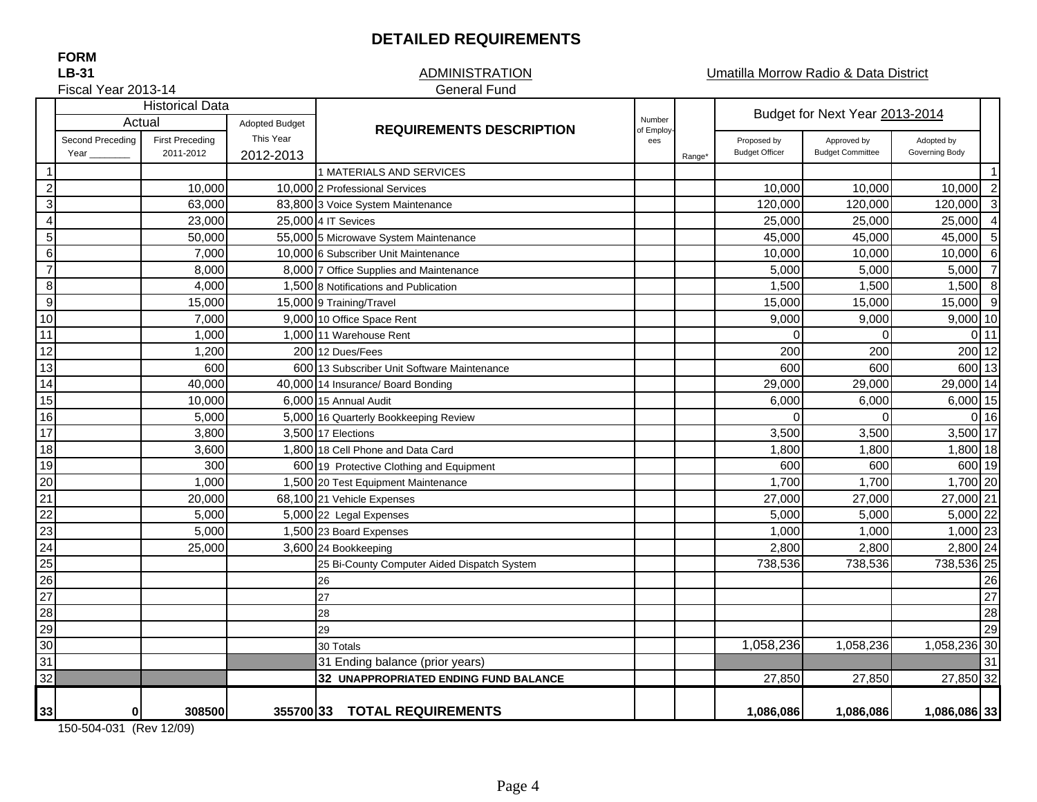### **DETAILED REQUIREMENTS**

#### **ADMINISTRATION** General Fund

Umatilla Morrow Radio & Data District

Fiscal Year 2013-14

|                           | <b>Historical Data</b> |                        |                       |                                             |                   |       | Budget for Next Year 2013-2014 |                         |                |                         |
|---------------------------|------------------------|------------------------|-----------------------|---------------------------------------------|-------------------|-------|--------------------------------|-------------------------|----------------|-------------------------|
|                           | Actual                 |                        | <b>Adopted Budget</b> | <b>REQUIREMENTS DESCRIPTION</b>             |                   |       |                                |                         |                |                         |
|                           | Second Preceding       | <b>First Preceding</b> | This Year             |                                             | of Employ-<br>ees |       | Proposed by                    | Approved by             | Adopted by     |                         |
|                           | Year                   | 2011-2012              | 2012-2013             |                                             |                   | Range | <b>Budget Officer</b>          | <b>Budget Committee</b> | Governing Body |                         |
| -1                        |                        |                        |                       | 1 MATERIALS AND SERVICES                    |                   |       |                                |                         |                | $\overline{1}$          |
| $\sqrt{2}$                |                        | 10,000                 |                       | 10,000 2 Professional Services              |                   |       | 10,000                         | 10,000                  | 10,000         | $\overline{2}$          |
| $\ensuremath{\mathsf{3}}$ |                        | 63,000                 |                       | 83,800 3 Voice System Maintenance           |                   |       | 120,000                        | 120,000                 | 120,000        | $\overline{\mathbf{3}}$ |
| $\overline{\mathbf{4}}$   |                        | 23,000                 |                       | 25,000 4 IT Sevices                         |                   |       | 25,000                         | 25,000                  | 25,000         | $\overline{\mathbf{4}}$ |
| $\sqrt{5}$                |                        | 50,000                 |                       | 55,000 5 Microwave System Maintenance       |                   |       | 45,000                         | 45,000                  | 45,000 5       |                         |
| $\,6$                     |                        | 7,000                  |                       | 10,000 6 Subscriber Unit Maintenance        |                   |       | 10,000                         | 10,000                  | 10,000         | $6\overline{6}$         |
| $\overline{7}$            |                        | 8,000                  |                       | 8,000 7 Office Supplies and Maintenance     |                   |       | 5,000                          | 5,000                   | 5,000          | $\overline{7}$          |
| $\overline{8}$            |                        | 4,000                  |                       | 1,500 8 Notifications and Publication       |                   |       | 1,500                          | 1,500                   | $1,500$ 8      |                         |
| $\overline{9}$            |                        | 15,000                 |                       | 15,000 9 Training/Travel                    |                   |       | 15,000                         | 15,000                  | 15,000         | - 9                     |
| 10                        |                        | 7,000                  |                       | 9,000 10 Office Space Rent                  |                   |       | 9,000                          | 9,000                   | $9,000$ 10     |                         |
| 11                        |                        | 1,000                  |                       | 1,000 11 Warehouse Rent                     |                   |       | $\Omega$                       | $\Omega$                |                | $0$ 11                  |
| 12                        |                        | 1,200                  |                       | 200 12 Dues/Fees                            |                   |       | 200                            | 200                     | 200 12         |                         |
| 13                        |                        | 600                    |                       | 600 13 Subscriber Unit Software Maintenance |                   |       | 600                            | 600                     | 600 13         |                         |
| $\overline{14}$           |                        | 40,000                 |                       | 40,000 14 Insurance/ Board Bonding          |                   |       | 29,000                         | 29,000                  | 29,000 14      |                         |
| 15                        |                        | 10,000                 |                       | 6,000 15 Annual Audit                       |                   |       | 6,000                          | 6,000                   | 6,000 15       |                         |
| 16                        |                        | 5,000                  |                       | 5,000 16 Quarterly Bookkeeping Review       |                   |       | $\Omega$                       | $\Omega$                |                | $0$ 16                  |
| 17                        |                        | 3,800                  |                       | 3,500 17 Elections                          |                   |       | 3,500                          | 3,500                   | 3,500 17       |                         |
| 18                        |                        | 3,600                  |                       | 1,800 18 Cell Phone and Data Card           |                   |       | 1,800                          | 1,800                   | 1,800 18       |                         |
| 19                        |                        | 300                    |                       | 600 19 Protective Clothing and Equipment    |                   |       | 600                            | 600                     | 600 19         |                         |
| $\overline{20}$           |                        | 1,000                  |                       | 1,500 20 Test Equipment Maintenance         |                   |       | 1,700                          | 1,700                   | 1,700 20       |                         |
| $\overline{21}$           |                        | 20,000                 |                       | 68,100 21 Vehicle Expenses                  |                   |       | 27,000                         | 27,000                  | 27,000 21      |                         |
| $\overline{22}$           |                        | 5,000                  |                       | 5,000 22 Legal Expenses                     |                   |       | 5,000                          | 5,000                   | 5,000 22       |                         |
| 23                        |                        | 5,000                  |                       | 1,500 23 Board Expenses                     |                   |       | 1,000                          | 1,000                   | 1,000 23       |                         |
| $\overline{24}$           |                        | 25,000                 |                       | 3,600 24 Bookkeeping                        |                   |       | 2,800                          | 2,800                   | 2,800 24       |                         |
| $\overline{25}$           |                        |                        |                       | 25 Bi-County Computer Aided Dispatch System |                   |       | 738,536                        | 738,536                 | 738,536 25     |                         |
| $\overline{26}$           |                        |                        |                       | 26                                          |                   |       |                                |                         |                | 26                      |
| 27                        |                        |                        |                       | 27                                          |                   |       |                                |                         |                | 27                      |
| $\overline{28}$           |                        |                        |                       | 28                                          |                   |       |                                |                         |                | 28                      |
| 29                        |                        |                        |                       | 29                                          |                   |       |                                |                         |                | 29                      |
| 30                        |                        |                        |                       | 30 Totals                                   |                   |       | 1,058,236                      | 1,058,236               | 1,058,236 30   |                         |
| 31                        |                        |                        |                       | 31 Ending balance (prior years)             |                   |       |                                |                         |                | 31                      |
| 32                        |                        |                        |                       | 32 UNAPPROPRIATED ENDING FUND BALANCE       |                   |       | 27,850                         | 27,850                  | 27,850 32      |                         |
|                           |                        |                        |                       |                                             |                   |       |                                |                         |                |                         |
| 33                        | 0                      | 308500                 |                       | 355700 33 TOTAL REQUIREMENTS                |                   |       | 1,086,086                      | 1,086,086               | 1,086,086 33   |                         |

150-504-031 (Rev 12/09)

**LB-31 FORM**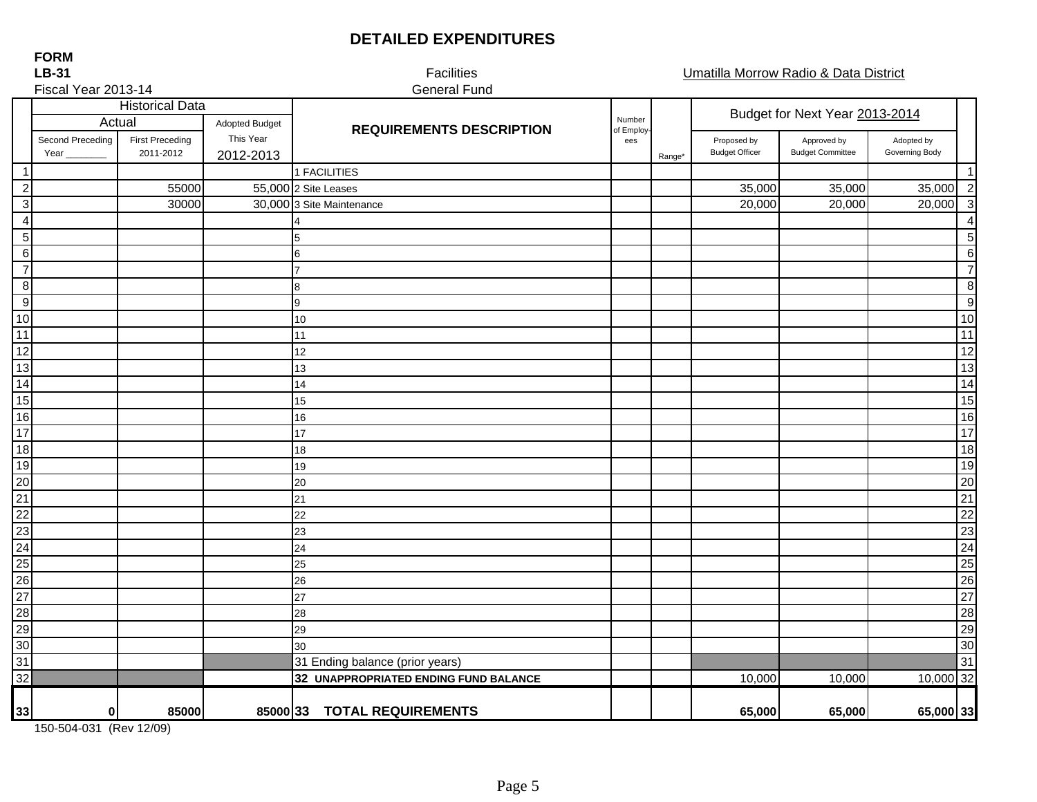# **DETAILED EXPENDITURES**

| <b>LB-31</b>        |                          |                                     |                        | Facilities                            | Umatilla Morrow Radio & Data District |        |                                      |                                        |                              |                  |
|---------------------|--------------------------|-------------------------------------|------------------------|---------------------------------------|---------------------------------------|--------|--------------------------------------|----------------------------------------|------------------------------|------------------|
| Fiscal Year 2013-14 |                          |                                     |                        | <b>General Fund</b>                   |                                       |        |                                      |                                        |                              |                  |
|                     | Actual                   | <b>Historical Data</b>              | Adopted Budget         |                                       | Number                                |        |                                      | Budget for Next Year 2013-2014         |                              |                  |
|                     | Second Preceding<br>Year | <b>First Preceding</b><br>2011-2012 | This Year<br>2012-2013 | <b>REQUIREMENTS DESCRIPTION</b>       | of Employ<br>ees                      | Range* | Proposed by<br><b>Budget Officer</b> | Approved by<br><b>Budget Committee</b> | Adopted by<br>Governing Body |                  |
| $\overline{1}$      |                          |                                     |                        | 1 FACILITIES                          |                                       |        |                                      |                                        |                              |                  |
| $\overline{c}$      |                          | 55000                               |                        | 55,000 2 Site Leases                  |                                       |        | 35,000                               | 35,000                                 | 35,000                       | $\overline{c}$   |
| $\mathbf{3}$        |                          | 30000                               |                        | 30,000 3 Site Maintenance             |                                       |        | 20,000                               | 20,000                                 | 20,000                       | $\mathbf{3}$     |
| $\overline{4}$      |                          |                                     |                        |                                       |                                       |        |                                      |                                        |                              | 4                |
| $\sqrt{5}$          |                          |                                     |                        | 5                                     |                                       |        |                                      |                                        |                              | $\mathbf 5$      |
| $6\phantom{1}6$     |                          |                                     |                        | 6                                     |                                       |        |                                      |                                        |                              | $\,6\,$          |
| $\overline{7}$      |                          |                                     |                        |                                       |                                       |        |                                      |                                        |                              | $\overline{7}$   |
| $\bf 8$             |                          |                                     |                        | 8                                     |                                       |        |                                      |                                        |                              | $\bf 8$          |
| 9                   |                          |                                     |                        | 9                                     |                                       |        |                                      |                                        |                              | $\boldsymbol{9}$ |
| 10                  |                          |                                     |                        | 10                                    |                                       |        |                                      |                                        |                              | 10               |
| 11                  |                          |                                     |                        | 11                                    |                                       |        |                                      |                                        |                              | 11               |
| 12                  |                          |                                     |                        | 12                                    |                                       |        |                                      |                                        |                              | 12               |
| 13                  |                          |                                     |                        | 13                                    |                                       |        |                                      |                                        |                              | 13               |
| 14                  |                          |                                     |                        | 14                                    |                                       |        |                                      |                                        |                              | $\overline{14}$  |
| 15                  |                          |                                     |                        | 15                                    |                                       |        |                                      |                                        |                              | 15               |
| 16                  |                          |                                     |                        | 16                                    |                                       |        |                                      |                                        |                              | 16               |
| 17                  |                          |                                     |                        | 17                                    |                                       |        |                                      |                                        |                              | 17               |
| 18                  |                          |                                     |                        | 18                                    |                                       |        |                                      |                                        |                              | 18               |
| 19                  |                          |                                     |                        | 19                                    |                                       |        |                                      |                                        |                              | 19               |
| $\overline{20}$     |                          |                                     |                        | 20                                    |                                       |        |                                      |                                        |                              | 20               |
| 21                  |                          |                                     |                        | 21                                    |                                       |        |                                      |                                        |                              | 21               |
| $\overline{22}$     |                          |                                     |                        | 22                                    |                                       |        |                                      |                                        |                              | $\overline{22}$  |
| 23                  |                          |                                     |                        | 23                                    |                                       |        |                                      |                                        |                              | 23               |
| 24                  |                          |                                     |                        | 24                                    |                                       |        |                                      |                                        |                              | $\overline{24}$  |
| 25                  |                          |                                     |                        | 25                                    |                                       |        |                                      |                                        |                              | 25               |
| 26                  |                          |                                     |                        | 26                                    |                                       |        |                                      |                                        |                              | 26               |
| 27                  |                          |                                     |                        | 27                                    |                                       |        |                                      |                                        |                              | 27               |
| 28                  |                          |                                     |                        | 28                                    |                                       |        |                                      |                                        |                              | 28               |
| 29                  |                          |                                     |                        | 29                                    |                                       |        |                                      |                                        |                              | 29               |
| 30                  |                          |                                     |                        | 30                                    |                                       |        |                                      |                                        |                              | 30               |
| 31                  |                          |                                     |                        | 31 Ending balance (prior years)       |                                       |        |                                      |                                        |                              | 31               |
| $\overline{32}$     |                          |                                     |                        | 32 UNAPPROPRIATED ENDING FUND BALANCE |                                       |        | 10,000                               | 10,000                                 | 10,000 32                    |                  |
| 33                  | $\pmb{0}$                | 85000                               |                        | 85000 33 TOTAL REQUIREMENTS           |                                       |        | 65,000                               | 65,000                                 | 65,000 33                    |                  |

150-504-031 (Rev 12/09)

**LB-31FORM**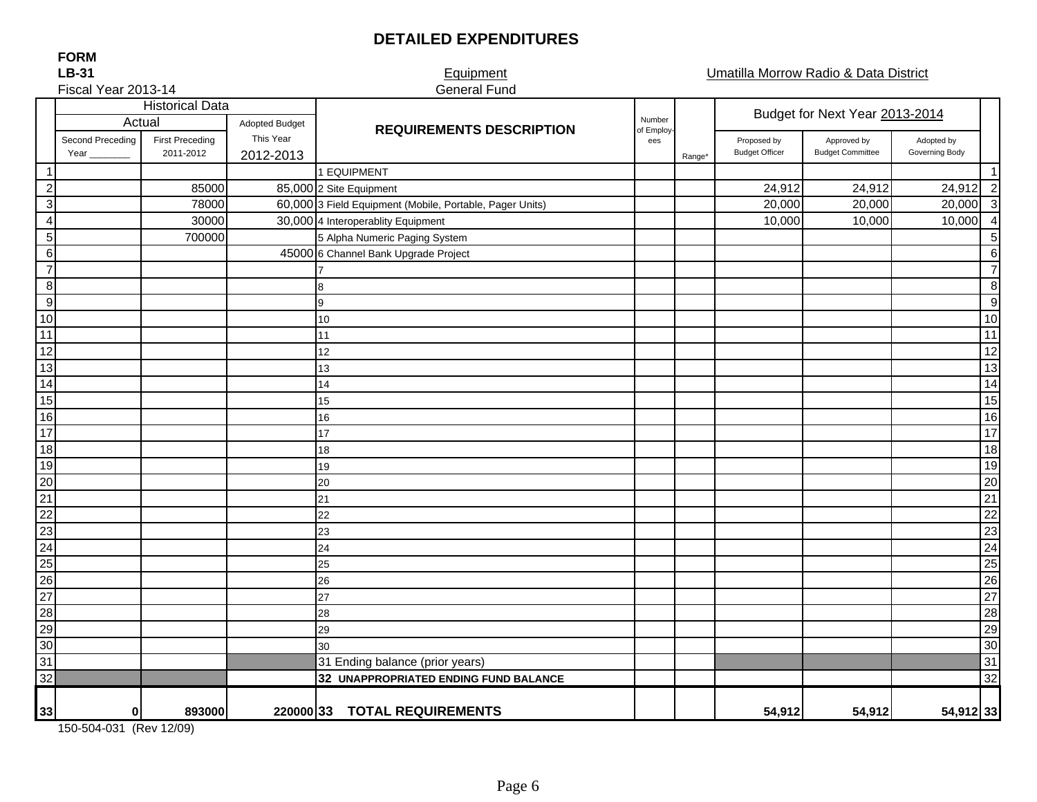# **DETAILED EXPENDITURES**

General Fund

Equipment **Equipment Equipment Equipment** 

#### **LB-31 FORM**

# Fiscal Year 2013-14

|                  |                  |                        | <b>Historical Data</b> |                                                          |                      | Budget for Next Year 2013-2014 |                       |                         |                |                 |
|------------------|------------------|------------------------|------------------------|----------------------------------------------------------|----------------------|--------------------------------|-----------------------|-------------------------|----------------|-----------------|
|                  | Actual           |                        | <b>Adopted Budget</b>  | <b>REQUIREMENTS DESCRIPTION</b>                          | Number<br>of Employ- |                                |                       |                         |                |                 |
|                  | Second Preceding | <b>First Preceding</b> | This Year              |                                                          | ees                  |                                | Proposed by           | Approved by             | Adopted by     |                 |
|                  | Year             | 2011-2012              | 2012-2013              |                                                          |                      | Range*                         | <b>Budget Officer</b> | <b>Budget Committee</b> | Governing Body |                 |
| $\mathbf{1}$     |                  |                        |                        | 1 EQUIPMENT                                              |                      |                                |                       |                         |                | $\overline{1}$  |
| $\boldsymbol{2}$ |                  | 85000                  |                        | 85,000 2 Site Equipment                                  |                      |                                | 24,912                | 24,912                  | 24,912 2       |                 |
| $\sqrt{3}$       |                  | 78000                  |                        | 60,000 3 Field Equipment (Mobile, Portable, Pager Units) |                      |                                | 20,000                | 20,000                  | $20,000$ 3     |                 |
| $\overline{4}$   |                  | 30000                  |                        | 30,000 4 Interoperablity Equipment                       |                      |                                | 10,000                | 10,000                  | 10,000         | $\overline{4}$  |
| $\sqrt{5}$       |                  | 700000                 |                        | 5 Alpha Numeric Paging System                            |                      |                                |                       |                         |                | 5               |
| $\,6$            |                  |                        |                        | 45000 6 Channel Bank Upgrade Project                     |                      |                                |                       |                         |                | 6               |
| $\overline{7}$   |                  |                        |                        |                                                          |                      |                                |                       |                         |                | $\overline{7}$  |
| 8                |                  |                        |                        | 8                                                        |                      |                                |                       |                         |                | 8               |
| 9                |                  |                        |                        | 9                                                        |                      |                                |                       |                         |                | 9               |
| 10               |                  |                        |                        | 10                                                       |                      |                                |                       |                         |                | 10              |
| 11               |                  |                        |                        | 11                                                       |                      |                                |                       |                         |                | 11              |
| 12               |                  |                        |                        | 12                                                       |                      |                                |                       |                         |                | $\overline{12}$ |
| 13               |                  |                        |                        | 13                                                       |                      |                                |                       |                         |                | 13              |
| 14               |                  |                        |                        | 14                                                       |                      |                                |                       |                         |                | 14              |
| 15               |                  |                        |                        | 15                                                       |                      |                                |                       |                         |                | 15              |
| 16               |                  |                        |                        | 16                                                       |                      |                                |                       |                         |                | 16              |
| $\overline{17}$  |                  |                        |                        | 17                                                       |                      |                                |                       |                         |                | $\overline{17}$ |
| 18               |                  |                        |                        | 18                                                       |                      |                                |                       |                         |                | 18              |
| 19               |                  |                        |                        | 19                                                       |                      |                                |                       |                         |                | 19              |
| 20               |                  |                        |                        | 20                                                       |                      |                                |                       |                         |                | 20              |
| $\overline{21}$  |                  |                        |                        | 21                                                       |                      |                                |                       |                         |                | $\overline{21}$ |
| $\overline{22}$  |                  |                        |                        | 22                                                       |                      |                                |                       |                         |                | $\overline{22}$ |
| 23               |                  |                        |                        | 23                                                       |                      |                                |                       |                         |                | 23              |
| 24               |                  |                        |                        | 24                                                       |                      |                                |                       |                         |                | $\overline{24}$ |
| 25               |                  |                        |                        | 25                                                       |                      |                                |                       |                         |                | 25              |
| 26               |                  |                        |                        | 26                                                       |                      |                                |                       |                         |                | 26              |
| $\overline{27}$  |                  |                        |                        | 27                                                       |                      |                                |                       |                         |                | 27              |
| 28               |                  |                        |                        | 28                                                       |                      |                                |                       |                         |                | 28              |
| 29               |                  |                        |                        | 29                                                       |                      |                                |                       |                         |                | 29              |
| 30               |                  |                        |                        | 30                                                       |                      |                                |                       |                         |                | 30              |
| 31               |                  |                        |                        | 31 Ending balance (prior years)                          |                      |                                |                       |                         |                | 31              |
| $\overline{32}$  |                  |                        |                        | 32 UNAPPROPRIATED ENDING FUND BALANCE                    |                      |                                |                       |                         |                | S2              |
|                  |                  |                        |                        |                                                          |                      |                                |                       |                         |                |                 |
| 33               | $\bf{0}$         | 893000                 |                        | 220000 33 TOTAL REQUIREMENTS                             |                      |                                | 54,912                | 54,912                  | 54,912 33      |                 |

150-504-031 (Rev 12/09)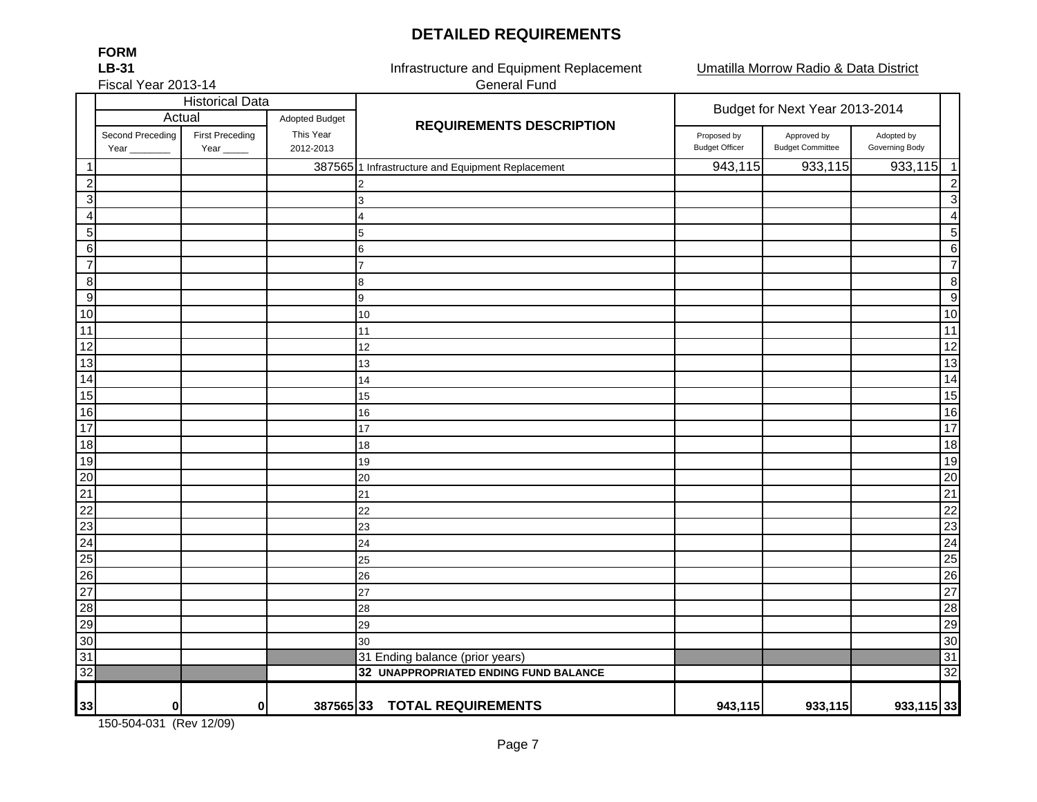## **DETAILED REQUIREMENTS**

Umatilla Morrow Radio & Data District

Fiscal Year 2013-14

**FORMLB-31**

Infrastructure and Equipment Replacement General Fund

|                  | <b>Historical Data</b>   |                                |                        |                                                   | Budget for Next Year 2013-2014       |                                        |                              |  |
|------------------|--------------------------|--------------------------------|------------------------|---------------------------------------------------|--------------------------------------|----------------------------------------|------------------------------|--|
|                  | Actual                   |                                | <b>Adopted Budget</b>  | <b>REQUIREMENTS DESCRIPTION</b>                   |                                      |                                        |                              |  |
|                  | Second Preceding<br>Year | <b>First Preceding</b><br>Year | This Year<br>2012-2013 |                                                   | Proposed by<br><b>Budget Officer</b> | Approved by<br><b>Budget Committee</b> | Adopted by<br>Governing Body |  |
| $\mathbf{1}$     |                          |                                |                        | 387565 1 Infrastructure and Equipment Replacement | 943,115                              | 933,115                                | 933,115<br>$\overline{1}$    |  |
| 2                |                          |                                |                        | 2                                                 |                                      |                                        | $\overline{2}$               |  |
| 3 <sup>l</sup>   |                          |                                |                        | 3                                                 |                                      |                                        | 3                            |  |
| $\overline{4}$   |                          |                                |                        | 4                                                 |                                      |                                        | $\overline{a}$               |  |
| 5 <sub>5</sub>   |                          |                                |                        | 5                                                 |                                      |                                        | 5                            |  |
| $6 \overline{6}$ |                          |                                |                        | 6                                                 |                                      |                                        | 6                            |  |
| $\overline{7}$   |                          |                                |                        | 7                                                 |                                      |                                        | $\overline{7}$               |  |
| 8                |                          |                                |                        | 8                                                 |                                      |                                        | 8                            |  |
| $\overline{9}$   |                          |                                |                        | 9                                                 |                                      |                                        | 9                            |  |
| 10               |                          |                                |                        | 10                                                |                                      |                                        | 10                           |  |
| 11               |                          |                                |                        | 11                                                |                                      |                                        | 11                           |  |
| $\overline{12}$  |                          |                                |                        | 12                                                |                                      |                                        | $\overline{12}$              |  |
| 13               |                          |                                |                        | 13                                                |                                      |                                        | 13                           |  |
| $\overline{14}$  |                          |                                |                        | 14                                                |                                      |                                        | 14                           |  |
| 15               |                          |                                |                        | 15                                                |                                      |                                        | $\overline{15}$              |  |
| 16               |                          |                                |                        | 16                                                |                                      |                                        | 16                           |  |
| $\frac{1}{17}$   |                          |                                |                        | 17                                                |                                      |                                        | 17                           |  |
| 18               |                          |                                |                        | 18                                                |                                      |                                        | 18                           |  |
| 19               |                          |                                |                        | 19                                                |                                      |                                        | 19                           |  |
| $\overline{20}$  |                          |                                |                        | 20                                                |                                      |                                        | 20                           |  |
| $\overline{21}$  |                          |                                |                        | 21                                                |                                      |                                        | 21                           |  |
| $\overline{22}$  |                          |                                |                        | 22                                                |                                      |                                        | 22                           |  |
| 23               |                          |                                |                        | 23                                                |                                      |                                        | 23                           |  |
| $\overline{24}$  |                          |                                |                        | 24                                                |                                      |                                        | 24                           |  |
| $\overline{25}$  |                          |                                |                        | 25                                                |                                      |                                        | 25                           |  |
| $\overline{26}$  |                          |                                |                        | 26                                                |                                      |                                        | 26                           |  |
| $\overline{27}$  |                          |                                |                        | 27                                                |                                      |                                        | 27                           |  |
| 28               |                          |                                |                        | 28                                                |                                      |                                        | 28                           |  |
| 29               |                          |                                |                        | 29                                                |                                      |                                        | 29                           |  |
| 30               |                          |                                |                        | 30                                                |                                      |                                        | 30                           |  |
| 31               |                          |                                |                        | 31 Ending balance (prior years)                   |                                      |                                        | 31                           |  |
| $\overline{32}$  |                          |                                |                        | 32 UNAPPROPRIATED ENDING FUND BALANCE             |                                      |                                        | $\overline{32}$              |  |
| 33               | 0                        | $\bf{0}$                       |                        | 387565 33 TOTAL REQUIREMENTS                      | 943,115                              | 933,115                                | 933,115 33                   |  |

150-504-031 (Rev 12/09)